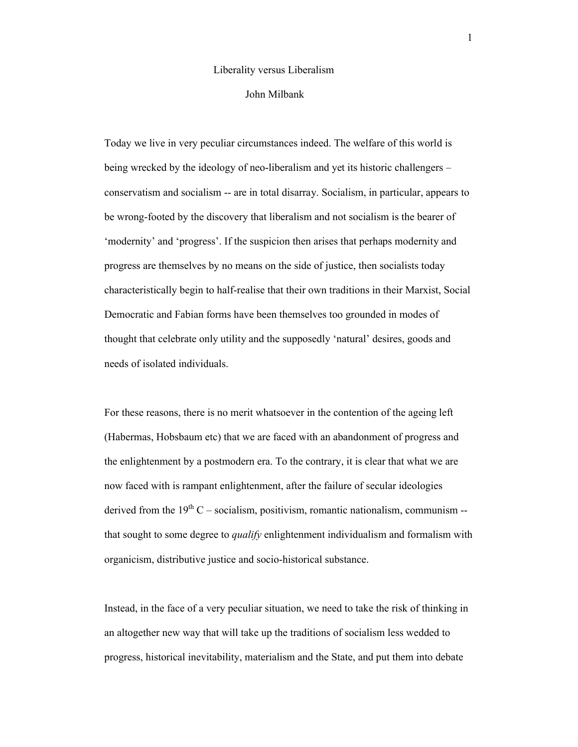## Liberality versus Liberalism

John Milbank

Today we live in very peculiar circumstances indeed. The welfare of this world is being wrecked by the ideology of neo-liberalism and yet its historic challengers – conservatism and socialism -- are in total disarray. Socialism, in particular, appears to be wrong-footed by the discovery that liberalism and not socialism is the bearer of 'modernity' and 'progress'. If the suspicion then arises that perhaps modernity and progress are themselves by no means on the side of justice, then socialists today characteristically begin to half-realise that their own traditions in their Marxist, Social Democratic and Fabian forms have been themselves too grounded in modes of thought that celebrate only utility and the supposedly 'natural' desires, goods and needs of isolated individuals.

For these reasons, there is no merit whatsoever in the contention of the ageing left (Habermas, Hobsbaum etc) that we are faced with an abandonment of progress and the enlightenment by a postmodern era. To the contrary, it is clear that what we are now faced with is rampant enlightenment, after the failure of secular ideologies derived from the  $19<sup>th</sup>$  C – socialism, positivism, romantic nationalism, communism -that sought to some degree to *qualify* enlightenment individualism and formalism with organicism, distributive justice and socio-historical substance.

Instead, in the face of a very peculiar situation, we need to take the risk of thinking in an altogether new way that will take up the traditions of socialism less wedded to progress, historical inevitability, materialism and the State, and put them into debate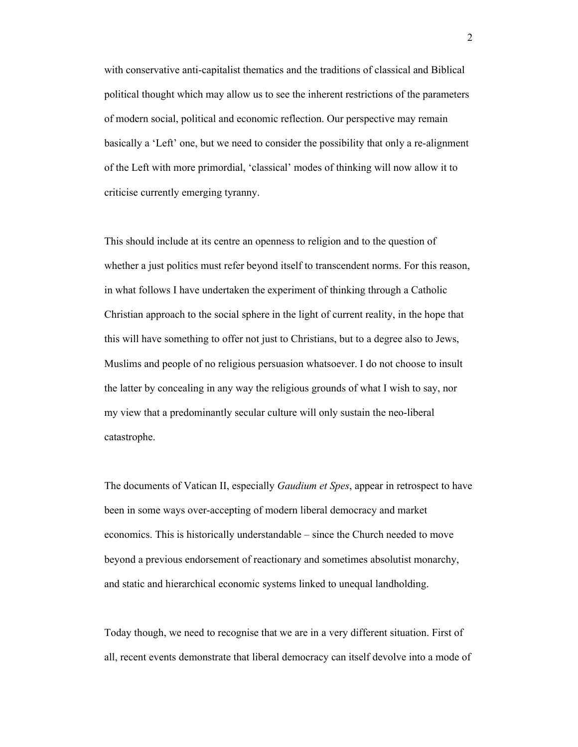with conservative anti-capitalist thematics and the traditions of classical and Biblical political thought which may allow us to see the inherent restrictions of the parameters of modern social, political and economic reflection. Our perspective may remain basically a 'Left' one, but we need to consider the possibility that only a re-alignment of the Left with more primordial, 'classical' modes of thinking will now allow it to criticise currently emerging tyranny.

This should include at its centre an openness to religion and to the question of whether a just politics must refer beyond itself to transcendent norms. For this reason, in what follows I have undertaken the experiment of thinking through a Catholic Christian approach to the social sphere in the light of current reality, in the hope that this will have something to offer not just to Christians, but to a degree also to Jews, Muslims and people of no religious persuasion whatsoever. I do not choose to insult the latter by concealing in any way the religious grounds of what I wish to say, nor my view that a predominantly secular culture will only sustain the neo-liberal catastrophe.

The documents of Vatican II, especially *Gaudium et Spes*, appear in retrospect to have been in some ways over-accepting of modern liberal democracy and market economics. This is historically understandable – since the Church needed to move beyond a previous endorsement of reactionary and sometimes absolutist monarchy, and static and hierarchical economic systems linked to unequal landholding.

Today though, we need to recognise that we are in a very different situation. First of all, recent events demonstrate that liberal democracy can itself devolve into a mode of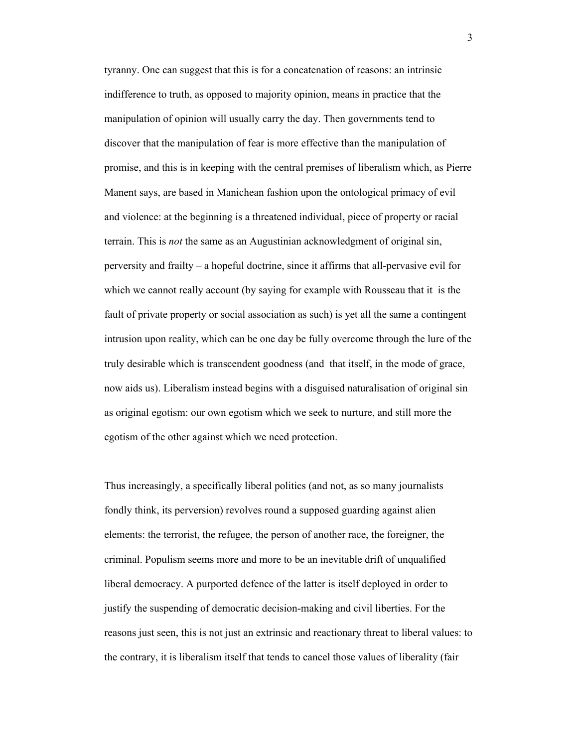tyranny. One can suggest that this is for a concatenation of reasons: an intrinsic indifference to truth, as opposed to majority opinion, means in practice that the manipulation of opinion will usually carry the day. Then governments tend to discover that the manipulation of fear is more effective than the manipulation of promise, and this is in keeping with the central premises of liberalism which, as Pierre Manent says, are based in Manichean fashion upon the ontological primacy of evil and violence: at the beginning is a threatened individual, piece of property or racial terrain. This is *not* the same as an Augustinian acknowledgment of original sin, perversity and frailty – a hopeful doctrine, since it affirms that all-pervasive evil for which we cannot really account (by saying for example with Rousseau that it is the fault of private property or social association as such) is yet all the same a contingent intrusion upon reality, which can be one day be fully overcome through the lure of the truly desirable which is transcendent goodness (and that itself, in the mode of grace, now aids us). Liberalism instead begins with a disguised naturalisation of original sin as original egotism: our own egotism which we seek to nurture, and still more the egotism of the other against which we need protection.

Thus increasingly, a specifically liberal politics (and not, as so many journalists fondly think, its perversion) revolves round a supposed guarding against alien elements: the terrorist, the refugee, the person of another race, the foreigner, the criminal. Populism seems more and more to be an inevitable drift of unqualified liberal democracy. A purported defence of the latter is itself deployed in order to justify the suspending of democratic decision-making and civil liberties. For the reasons just seen, this is not just an extrinsic and reactionary threat to liberal values: to the contrary, it is liberalism itself that tends to cancel those values of liberality (fair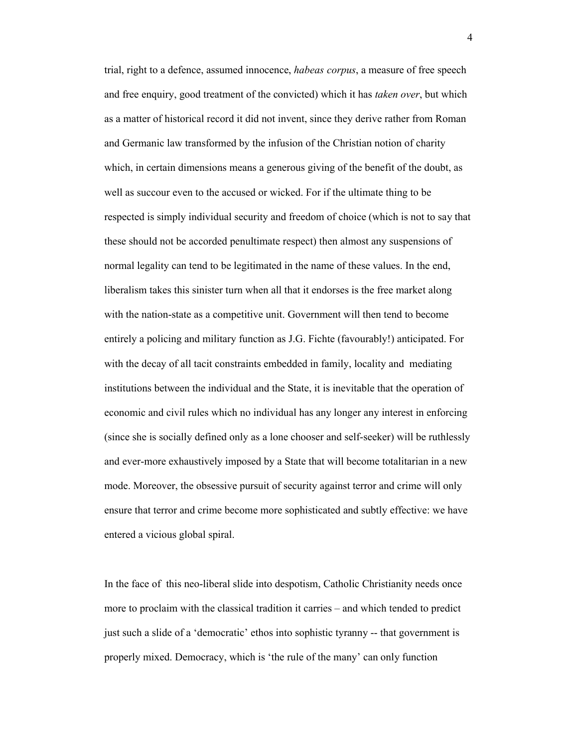trial, right to a defence, assumed innocence, *habeas corpus*, a measure of free speech and free enquiry, good treatment of the convicted) which it has *taken over*, but which as a matter of historical record it did not invent, since they derive rather from Roman and Germanic law transformed by the infusion of the Christian notion of charity which, in certain dimensions means a generous giving of the benefit of the doubt, as well as succour even to the accused or wicked. For if the ultimate thing to be respected is simply individual security and freedom of choice (which is not to say that these should not be accorded penultimate respect) then almost any suspensions of normal legality can tend to be legitimated in the name of these values. In the end, liberalism takes this sinister turn when all that it endorses is the free market along with the nation-state as a competitive unit. Government will then tend to become entirely a policing and military function as J.G. Fichte (favourably!) anticipated. For with the decay of all tacit constraints embedded in family, locality and mediating institutions between the individual and the State, it is inevitable that the operation of economic and civil rules which no individual has any longer any interest in enforcing (since she is socially defined only as a lone chooser and self-seeker) will be ruthlessly and ever-more exhaustively imposed by a State that will become totalitarian in a new mode. Moreover, the obsessive pursuit of security against terror and crime will only ensure that terror and crime become more sophisticated and subtly effective: we have entered a vicious global spiral.

In the face of this neo-liberal slide into despotism, Catholic Christianity needs once more to proclaim with the classical tradition it carries – and which tended to predict just such a slide of a 'democratic' ethos into sophistic tyranny -- that government is properly mixed. Democracy, which is 'the rule of the many' can only function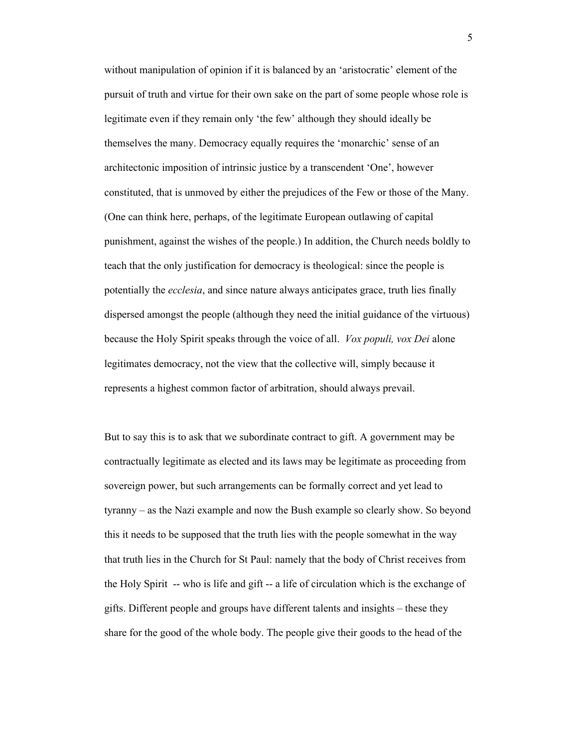without manipulation of opinion if it is balanced by an 'aristocratic' element of the pursuit of truth and virtue for their own sake on the part of some people whose role is legitimate even if they remain only 'the few' although they should ideally be themselves the many. Democracy equally requires the 'monarchic' sense of an architectonic imposition of intrinsic justice by a transcendent 'One', however constituted, that is unmoved by either the prejudices of the Few or those of the Many. (One can think here, perhaps, of the legitimate European outlawing of capital punishment, against the wishes of the people.) In addition, the Church needs boldly to teach that the only justification for democracy is theological: since the people is potentially the *ecclesia*, and since nature always anticipates grace, truth lies finally dispersed amongst the people (although they need the initial guidance of the virtuous) because the Holy Spirit speaks through the voice of all. *Vox populi, vox Dei* alone legitimates democracy, not the view that the collective will, simply because it represents a highest common factor of arbitration, should always prevail.

But to say this is to ask that we subordinate contract to gift. A government may be contractually legitimate as elected and its laws may be legitimate as proceeding from sovereign power, but such arrangements can be formally correct and yet lead to tyranny – as the Nazi example and now the Bush example so clearly show. So beyond this it needs to be supposed that the truth lies with the people somewhat in the way that truth lies in the Church for St Paul: namely that the body of Christ receives from the Holy Spirit -- who is life and gift -- a life of circulation which is the exchange of gifts. Different people and groups have different talents and insights – these they share for the good of the whole body. The people give their goods to the head of the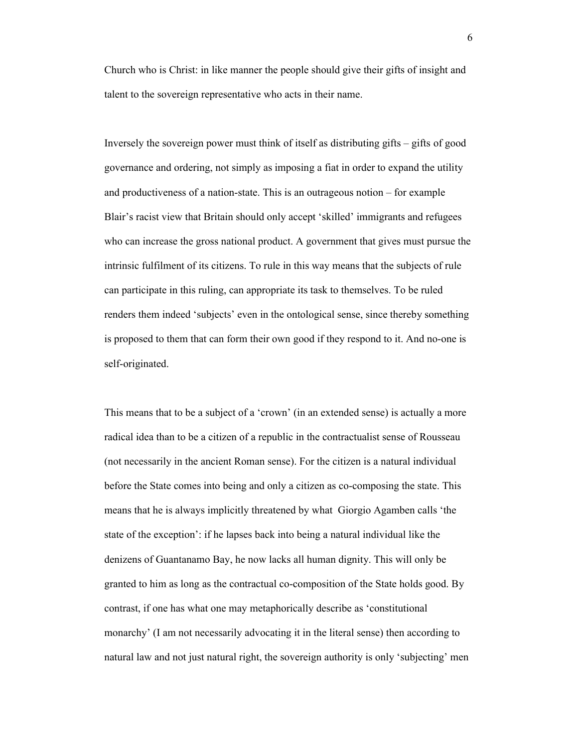Church who is Christ: in like manner the people should give their gifts of insight and talent to the sovereign representative who acts in their name.

Inversely the sovereign power must think of itself as distributing gifts – gifts of good governance and ordering, not simply as imposing a fiat in order to expand the utility and productiveness of a nation-state. This is an outrageous notion – for example Blair's racist view that Britain should only accept 'skilled' immigrants and refugees who can increase the gross national product. A government that gives must pursue the intrinsic fulfilment of its citizens. To rule in this way means that the subjects of rule can participate in this ruling, can appropriate its task to themselves. To be ruled renders them indeed 'subjects' even in the ontological sense, since thereby something is proposed to them that can form their own good if they respond to it. And no-one is self-originated.

This means that to be a subject of a 'crown' (in an extended sense) is actually a more radical idea than to be a citizen of a republic in the contractualist sense of Rousseau (not necessarily in the ancient Roman sense). For the citizen is a natural individual before the State comes into being and only a citizen as co-composing the state. This means that he is always implicitly threatened by what Giorgio Agamben calls 'the state of the exception': if he lapses back into being a natural individual like the denizens of Guantanamo Bay, he now lacks all human dignity. This will only be granted to him as long as the contractual co-composition of the State holds good. By contrast, if one has what one may metaphorically describe as 'constitutional monarchy' (I am not necessarily advocating it in the literal sense) then according to natural law and not just natural right, the sovereign authority is only 'subjecting' men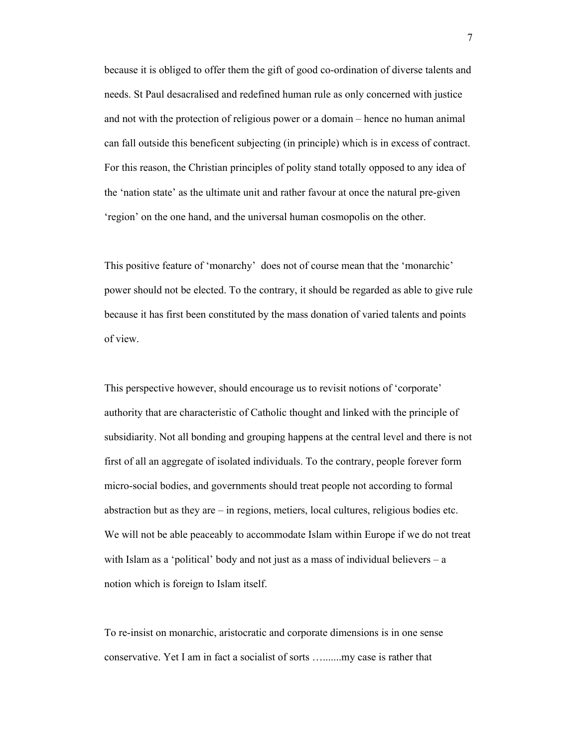because it is obliged to offer them the gift of good co-ordination of diverse talents and needs. St Paul desacralised and redefined human rule as only concerned with justice and not with the protection of religious power or a domain – hence no human animal can fall outside this beneficent subjecting (in principle) which is in excess of contract. For this reason, the Christian principles of polity stand totally opposed to any idea of the 'nation state' as the ultimate unit and rather favour at once the natural pre-given 'region' on the one hand, and the universal human cosmopolis on the other.

This positive feature of 'monarchy' does not of course mean that the 'monarchic' power should not be elected. To the contrary, it should be regarded as able to give rule because it has first been constituted by the mass donation of varied talents and points of view.

This perspective however, should encourage us to revisit notions of 'corporate' authority that are characteristic of Catholic thought and linked with the principle of subsidiarity. Not all bonding and grouping happens at the central level and there is not first of all an aggregate of isolated individuals. To the contrary, people forever form micro-social bodies, and governments should treat people not according to formal abstraction but as they are – in regions, metiers, local cultures, religious bodies etc. We will not be able peaceably to accommodate Islam within Europe if we do not treat with Islam as a 'political' body and not just as a mass of individual believers  $-$  a notion which is foreign to Islam itself.

To re-insist on monarchic, aristocratic and corporate dimensions is in one sense conservative. Yet I am in fact a socialist of sorts ….......my case is rather that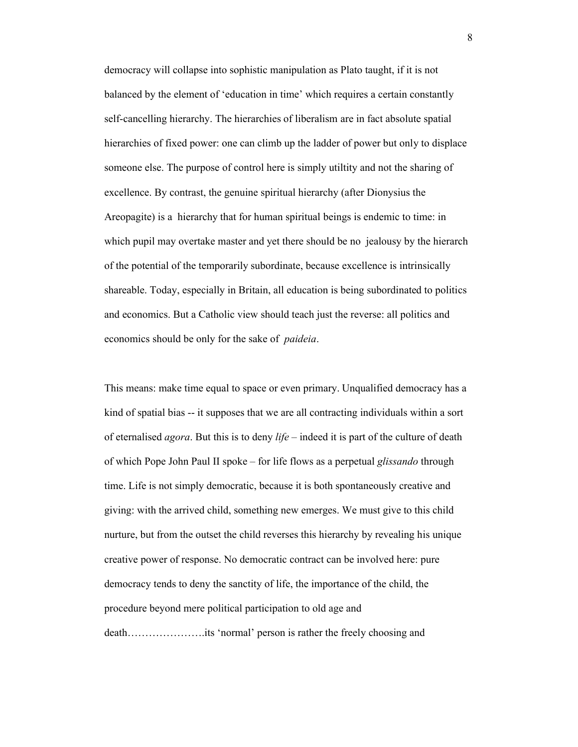democracy will collapse into sophistic manipulation as Plato taught, if it is not balanced by the element of 'education in time' which requires a certain constantly self-cancelling hierarchy. The hierarchies of liberalism are in fact absolute spatial hierarchies of fixed power: one can climb up the ladder of power but only to displace someone else. The purpose of control here is simply utiltity and not the sharing of excellence. By contrast, the genuine spiritual hierarchy (after Dionysius the Areopagite) is a hierarchy that for human spiritual beings is endemic to time: in which pupil may overtake master and yet there should be no jealousy by the hierarch of the potential of the temporarily subordinate, because excellence is intrinsically shareable. Today, especially in Britain, all education is being subordinated to politics and economics. But a Catholic view should teach just the reverse: all politics and economics should be only for the sake of *paideia*.

This means: make time equal to space or even primary. Unqualified democracy has a kind of spatial bias -- it supposes that we are all contracting individuals within a sort of eternalised *agora*. But this is to deny *life* – indeed it is part of the culture of death of which Pope John Paul II spoke – for life flows as a perpetual *glissando* through time. Life is not simply democratic, because it is both spontaneously creative and giving: with the arrived child, something new emerges. We must give to this child nurture, but from the outset the child reverses this hierarchy by revealing his unique creative power of response. No democratic contract can be involved here: pure democracy tends to deny the sanctity of life, the importance of the child, the procedure beyond mere political participation to old age and death………………….its 'normal' person is rather the freely choosing and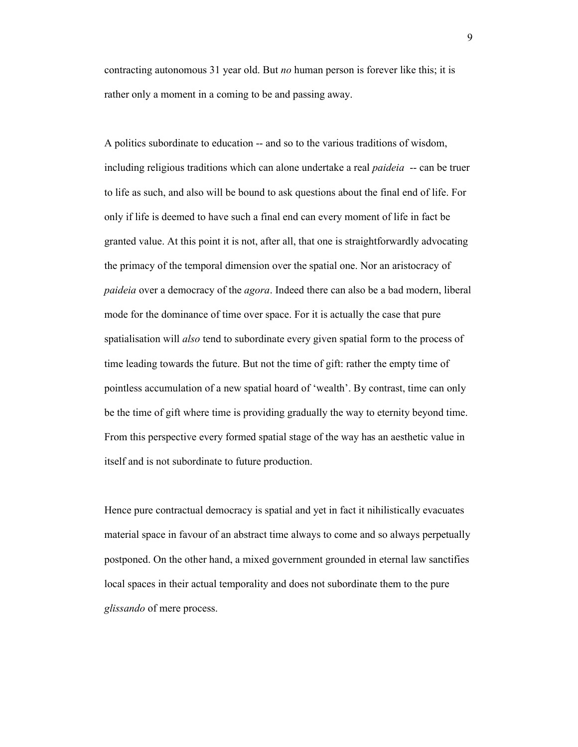contracting autonomous 31 year old. But *no* human person is forever like this; it is rather only a moment in a coming to be and passing away.

A politics subordinate to education -- and so to the various traditions of wisdom, including religious traditions which can alone undertake a real *paideia* -- can be truer to life as such, and also will be bound to ask questions about the final end of life. For only if life is deemed to have such a final end can every moment of life in fact be granted value. At this point it is not, after all, that one is straightforwardly advocating the primacy of the temporal dimension over the spatial one. Nor an aristocracy of *paideia* over a democracy of the *agora*. Indeed there can also be a bad modern, liberal mode for the dominance of time over space. For it is actually the case that pure spatialisation will *also* tend to subordinate every given spatial form to the process of time leading towards the future. But not the time of gift: rather the empty time of pointless accumulation of a new spatial hoard of 'wealth'. By contrast, time can only be the time of gift where time is providing gradually the way to eternity beyond time. From this perspective every formed spatial stage of the way has an aesthetic value in itself and is not subordinate to future production.

Hence pure contractual democracy is spatial and yet in fact it nihilistically evacuates material space in favour of an abstract time always to come and so always perpetually postponed. On the other hand, a mixed government grounded in eternal law sanctifies local spaces in their actual temporality and does not subordinate them to the pure *glissando* of mere process.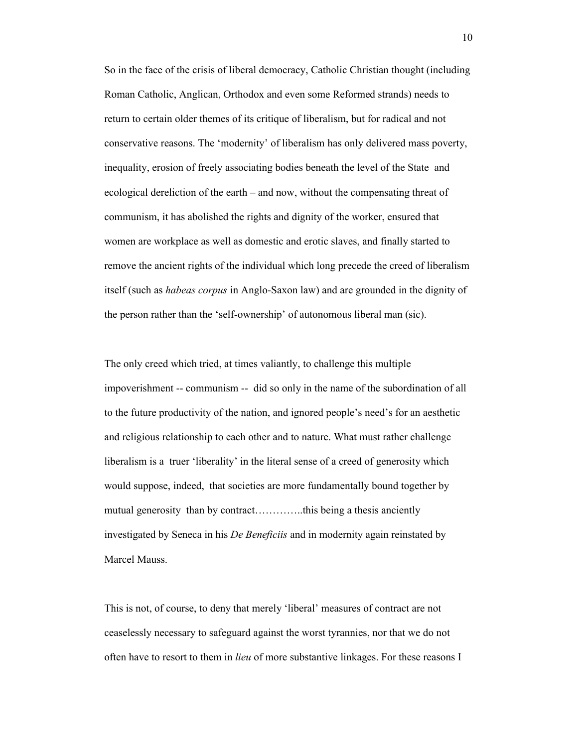So in the face of the crisis of liberal democracy, Catholic Christian thought (including Roman Catholic, Anglican, Orthodox and even some Reformed strands) needs to return to certain older themes of its critique of liberalism, but for radical and not conservative reasons. The 'modernity' of liberalism has only delivered mass poverty, inequality, erosion of freely associating bodies beneath the level of the State and ecological dereliction of the earth – and now, without the compensating threat of communism, it has abolished the rights and dignity of the worker, ensured that women are workplace as well as domestic and erotic slaves, and finally started to remove the ancient rights of the individual which long precede the creed of liberalism itself (such as *habeas corpus* in Anglo-Saxon law) and are grounded in the dignity of the person rather than the 'self-ownership' of autonomous liberal man (sic).

The only creed which tried, at times valiantly, to challenge this multiple impoverishment -- communism -- did so only in the name of the subordination of all to the future productivity of the nation, and ignored people's need's for an aesthetic and religious relationship to each other and to nature. What must rather challenge liberalism is a truer 'liberality' in the literal sense of a creed of generosity which would suppose, indeed, that societies are more fundamentally bound together by mutual generosity than by contract…………..this being a thesis anciently investigated by Seneca in his *De Beneficiis* and in modernity again reinstated by Marcel Mauss.

This is not, of course, to deny that merely 'liberal' measures of contract are not ceaselessly necessary to safeguard against the worst tyrannies, nor that we do not often have to resort to them in *lieu* of more substantive linkages. For these reasons I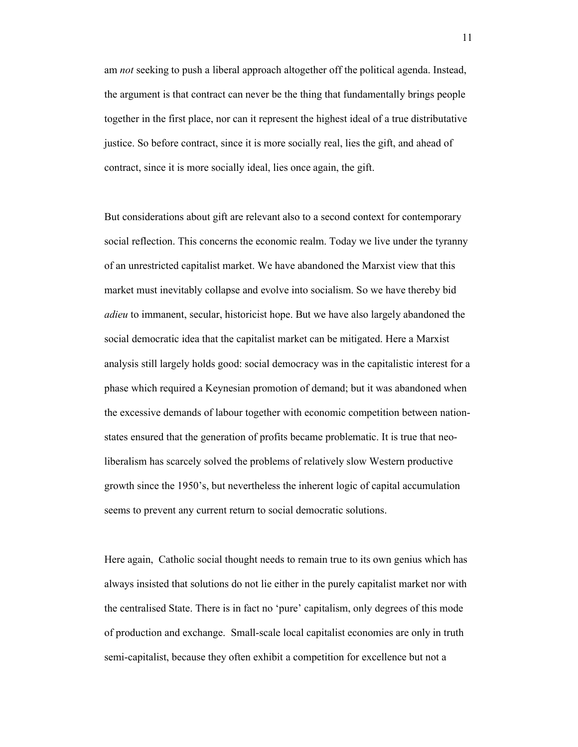am *not* seeking to push a liberal approach altogether off the political agenda. Instead, the argument is that contract can never be the thing that fundamentally brings people together in the first place, nor can it represent the highest ideal of a true distributative justice. So before contract, since it is more socially real, lies the gift, and ahead of contract, since it is more socially ideal, lies once again, the gift.

But considerations about gift are relevant also to a second context for contemporary social reflection. This concerns the economic realm. Today we live under the tyranny of an unrestricted capitalist market. We have abandoned the Marxist view that this market must inevitably collapse and evolve into socialism. So we have thereby bid *adieu* to immanent, secular, historicist hope. But we have also largely abandoned the social democratic idea that the capitalist market can be mitigated. Here a Marxist analysis still largely holds good: social democracy was in the capitalistic interest for a phase which required a Keynesian promotion of demand; but it was abandoned when the excessive demands of labour together with economic competition between nationstates ensured that the generation of profits became problematic. It is true that neoliberalism has scarcely solved the problems of relatively slow Western productive growth since the 1950's, but nevertheless the inherent logic of capital accumulation seems to prevent any current return to social democratic solutions.

Here again, Catholic social thought needs to remain true to its own genius which has always insisted that solutions do not lie either in the purely capitalist market nor with the centralised State. There is in fact no 'pure' capitalism, only degrees of this mode of production and exchange. Small-scale local capitalist economies are only in truth semi-capitalist, because they often exhibit a competition for excellence but not a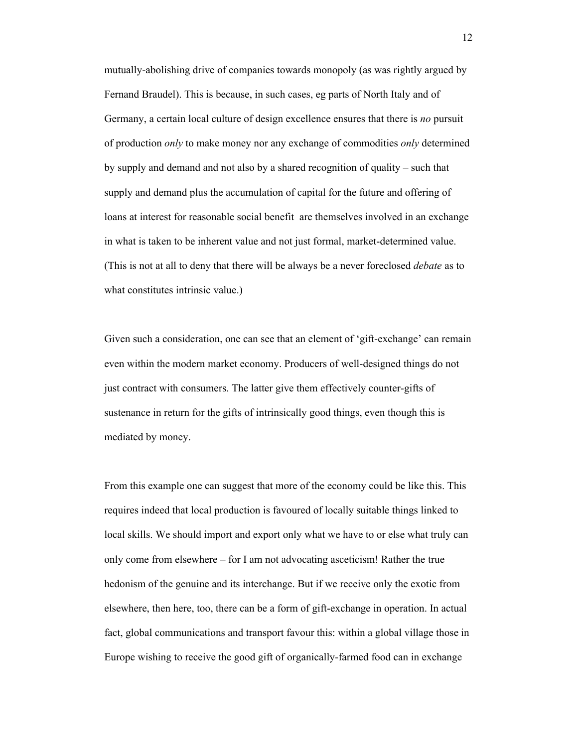mutually-abolishing drive of companies towards monopoly (as was rightly argued by Fernand Braudel). This is because, in such cases, eg parts of North Italy and of Germany, a certain local culture of design excellence ensures that there is *no* pursuit of production *only* to make money nor any exchange of commodities *only* determined by supply and demand and not also by a shared recognition of quality – such that supply and demand plus the accumulation of capital for the future and offering of loans at interest for reasonable social benefit are themselves involved in an exchange in what is taken to be inherent value and not just formal, market-determined value. (This is not at all to deny that there will be always be a never foreclosed *debate* as to what constitutes intrinsic value.)

Given such a consideration, one can see that an element of 'gift-exchange' can remain even within the modern market economy. Producers of well-designed things do not just contract with consumers. The latter give them effectively counter-gifts of sustenance in return for the gifts of intrinsically good things, even though this is mediated by money.

From this example one can suggest that more of the economy could be like this. This requires indeed that local production is favoured of locally suitable things linked to local skills. We should import and export only what we have to or else what truly can only come from elsewhere – for I am not advocating asceticism! Rather the true hedonism of the genuine and its interchange. But if we receive only the exotic from elsewhere, then here, too, there can be a form of gift-exchange in operation. In actual fact, global communications and transport favour this: within a global village those in Europe wishing to receive the good gift of organically-farmed food can in exchange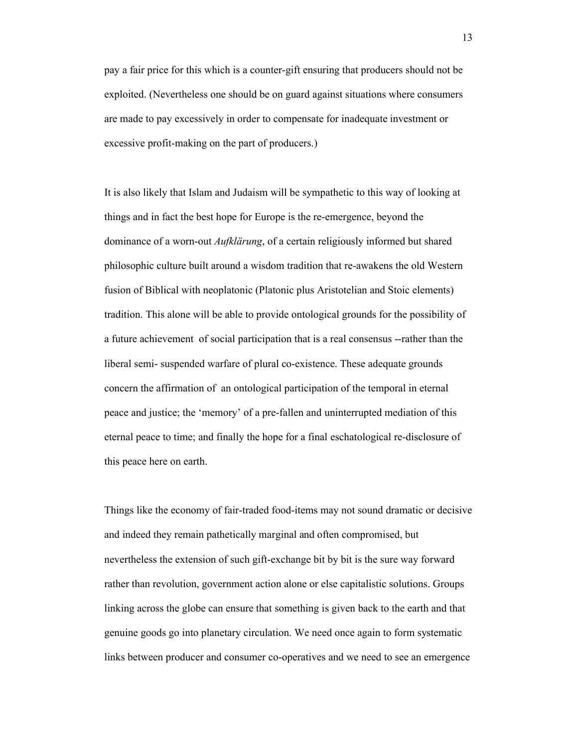pay a fair price for this which is a counter-gift ensuring that producers should not be exploited. (Nevertheless one should be on guard against situations where consumers are made to pay excessively in order to compensate for inadequate investment or excessive profit-making on the part of producers.)

It is also likely that Islam and Judaism will be sympathetic to this way of looking at things and in fact the best hope for Europe is the re-emergence, beyond the dominance of a worn-out *Aufklärung*, of a certain religiously informed but shared philosophic culture built around a wisdom tradition that re-awakens the old Western fusion of Biblical with neoplatonic (Platonic plus Aristotelian and Stoic elements) tradition. This alone will be able to provide ontological grounds for the possibility of a future achievement of social participation that is a real consensus --rather than the liberal semi- suspended warfare of plural co-existence. These adequate grounds concern the affirmation of an ontological participation of the temporal in eternal peace and justice; the 'memory' of a pre-fallen and uninterrupted mediation of this eternal peace to time; and finally the hope for a final eschatological re-disclosure of this peace here on earth.

Things like the economy of fair-traded food-items may not sound dramatic or decisive and indeed they remain pathetically marginal and often compromised, but nevertheless the extension of such gift-exchange bit by bit is the sure way forward rather than revolution, government action alone or else capitalistic solutions. Groups linking across the globe can ensure that something is given back to the earth and that genuine goods go into planetary circulation. We need once again to form systematic links between producer and consumer co-operatives and we need to see an emergence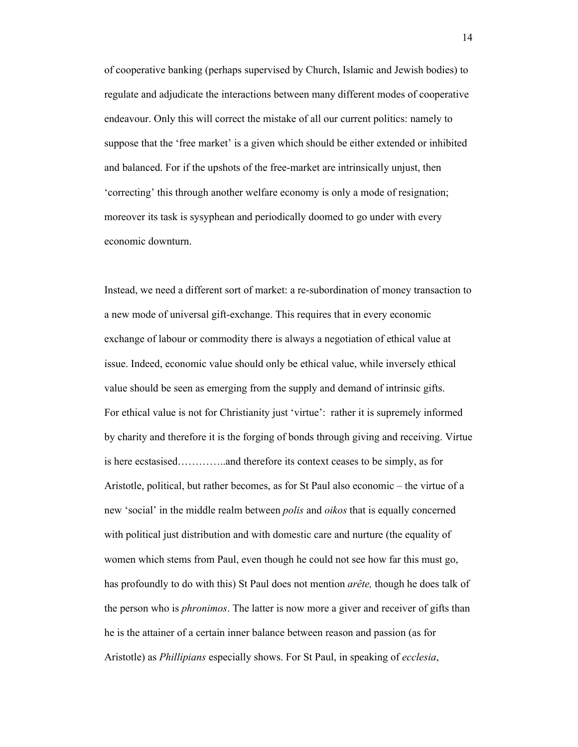of cooperative banking (perhaps supervised by Church, Islamic and Jewish bodies) to regulate and adjudicate the interactions between many different modes of cooperative endeavour. Only this will correct the mistake of all our current politics: namely to suppose that the 'free market' is a given which should be either extended or inhibited and balanced. For if the upshots of the free-market are intrinsically unjust, then 'correcting' this through another welfare economy is only a mode of resignation; moreover its task is sysyphean and periodically doomed to go under with every economic downturn.

Instead, we need a different sort of market: a re-subordination of money transaction to a new mode of universal gift-exchange. This requires that in every economic exchange of labour or commodity there is always a negotiation of ethical value at issue. Indeed, economic value should only be ethical value, while inversely ethical value should be seen as emerging from the supply and demand of intrinsic gifts. For ethical value is not for Christianity just 'virtue': rather it is supremely informed by charity and therefore it is the forging of bonds through giving and receiving. Virtue is here ecstasised…………..and therefore its context ceases to be simply, as for Aristotle, political, but rather becomes, as for St Paul also economic – the virtue of a new 'social' in the middle realm between *polis* and *oikos* that is equally concerned with political just distribution and with domestic care and nurture (the equality of women which stems from Paul, even though he could not see how far this must go, has profoundly to do with this) St Paul does not mention *arête,* though he does talk of the person who is *phronimos*. The latter is now more a giver and receiver of gifts than he is the attainer of a certain inner balance between reason and passion (as for Aristotle) as *Phillipians* especially shows. For St Paul, in speaking of *ecclesia*,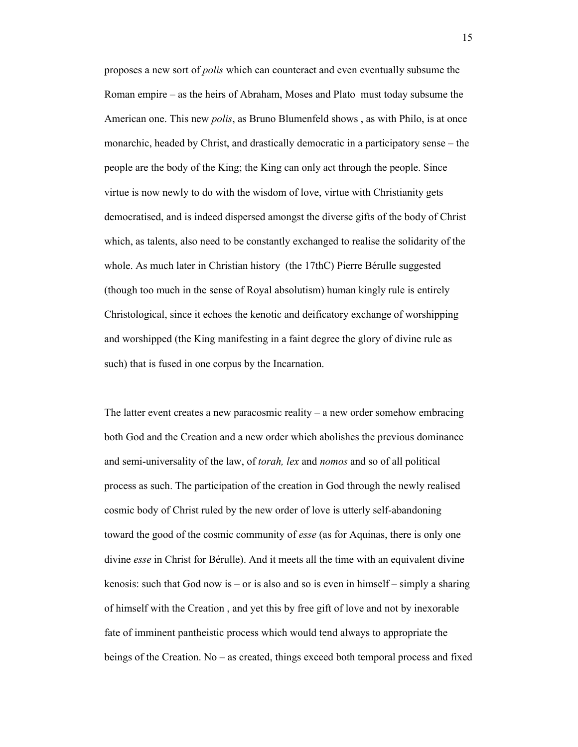proposes a new sort of *polis* which can counteract and even eventually subsume the Roman empire – as the heirs of Abraham, Moses and Plato must today subsume the American one. This new *polis*, as Bruno Blumenfeld shows , as with Philo, is at once monarchic, headed by Christ, and drastically democratic in a participatory sense – the people are the body of the King; the King can only act through the people. Since virtue is now newly to do with the wisdom of love, virtue with Christianity gets democratised, and is indeed dispersed amongst the diverse gifts of the body of Christ which, as talents, also need to be constantly exchanged to realise the solidarity of the whole. As much later in Christian history (the 17thC) Pierre Bérulle suggested (though too much in the sense of Royal absolutism) human kingly rule is entirely Christological, since it echoes the kenotic and deificatory exchange of worshipping and worshipped (the King manifesting in a faint degree the glory of divine rule as such) that is fused in one corpus by the Incarnation.

The latter event creates a new paracosmic reality – a new order somehow embracing both God and the Creation and a new order which abolishes the previous dominance and semi-universality of the law, of *torah, lex* and *nomos* and so of all political process as such. The participation of the creation in God through the newly realised cosmic body of Christ ruled by the new order of love is utterly self-abandoning toward the good of the cosmic community of *esse* (as for Aquinas, there is only one divine *esse* in Christ for Bérulle). And it meets all the time with an equivalent divine kenosis: such that God now is – or is also and so is even in himself – simply a sharing of himself with the Creation , and yet this by free gift of love and not by inexorable fate of imminent pantheistic process which would tend always to appropriate the beings of the Creation. No – as created, things exceed both temporal process and fixed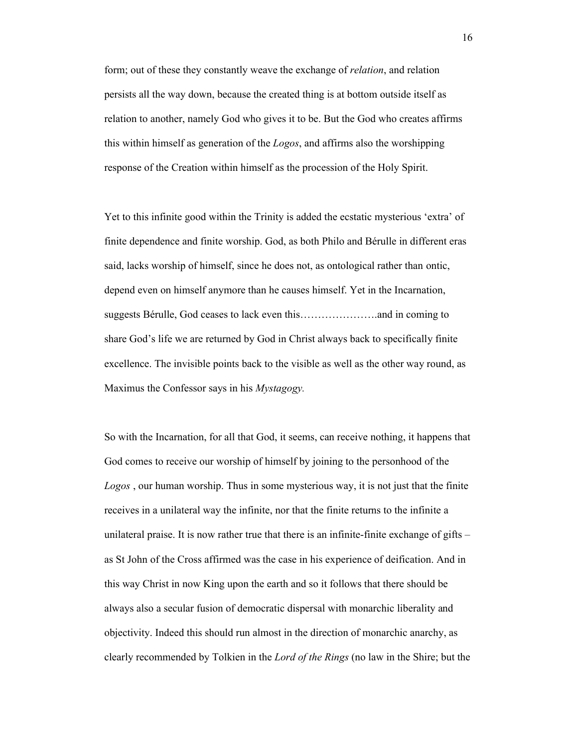form; out of these they constantly weave the exchange of *relation*, and relation persists all the way down, because the created thing is at bottom outside itself as relation to another, namely God who gives it to be. But the God who creates affirms this within himself as generation of the *Logos*, and affirms also the worshipping response of the Creation within himself as the procession of the Holy Spirit.

Yet to this infinite good within the Trinity is added the ecstatic mysterious 'extra' of finite dependence and finite worship. God, as both Philo and Bérulle in different eras said, lacks worship of himself, since he does not, as ontological rather than ontic, depend even on himself anymore than he causes himself. Yet in the Incarnation, suggests Bérulle, God ceases to lack even this………………….and in coming to share God's life we are returned by God in Christ always back to specifically finite excellence. The invisible points back to the visible as well as the other way round, as Maximus the Confessor says in his *Mystagogy.*

So with the Incarnation, for all that God, it seems, can receive nothing, it happens that God comes to receive our worship of himself by joining to the personhood of the *Logos* , our human worship. Thus in some mysterious way, it is not just that the finite receives in a unilateral way the infinite, nor that the finite returns to the infinite a unilateral praise. It is now rather true that there is an infinite-finite exchange of gifts – as St John of the Cross affirmed was the case in his experience of deification. And in this way Christ in now King upon the earth and so it follows that there should be always also a secular fusion of democratic dispersal with monarchic liberality and objectivity. Indeed this should run almost in the direction of monarchic anarchy, as clearly recommended by Tolkien in the *Lord of the Rings* (no law in the Shire; but the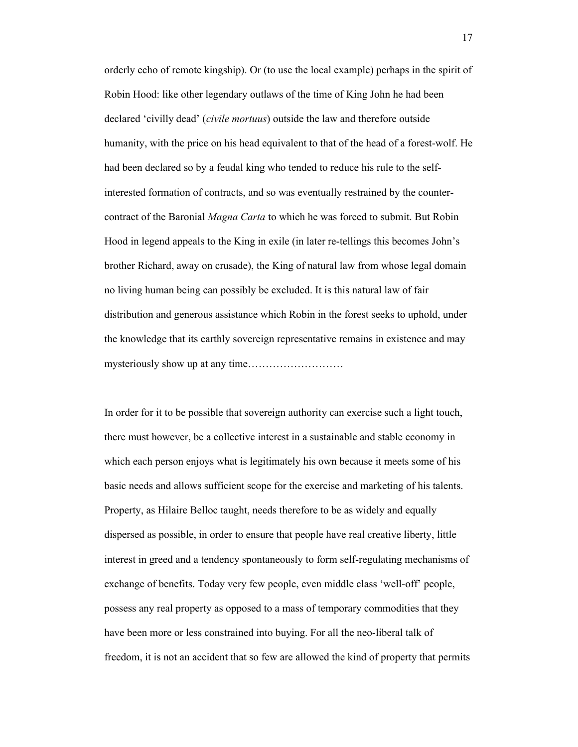orderly echo of remote kingship). Or (to use the local example) perhaps in the spirit of Robin Hood: like other legendary outlaws of the time of King John he had been declared 'civilly dead' (*civile mortuus*) outside the law and therefore outside humanity, with the price on his head equivalent to that of the head of a forest-wolf. He had been declared so by a feudal king who tended to reduce his rule to the selfinterested formation of contracts, and so was eventually restrained by the countercontract of the Baronial *Magna Carta* to which he was forced to submit. But Robin Hood in legend appeals to the King in exile (in later re-tellings this becomes John's brother Richard, away on crusade), the King of natural law from whose legal domain no living human being can possibly be excluded. It is this natural law of fair distribution and generous assistance which Robin in the forest seeks to uphold, under the knowledge that its earthly sovereign representative remains in existence and may mysteriously show up at any time………………………

In order for it to be possible that sovereign authority can exercise such a light touch, there must however, be a collective interest in a sustainable and stable economy in which each person enjoys what is legitimately his own because it meets some of his basic needs and allows sufficient scope for the exercise and marketing of his talents. Property, as Hilaire Belloc taught, needs therefore to be as widely and equally dispersed as possible, in order to ensure that people have real creative liberty, little interest in greed and a tendency spontaneously to form self-regulating mechanisms of exchange of benefits. Today very few people, even middle class 'well-off' people, possess any real property as opposed to a mass of temporary commodities that they have been more or less constrained into buying. For all the neo-liberal talk of freedom, it is not an accident that so few are allowed the kind of property that permits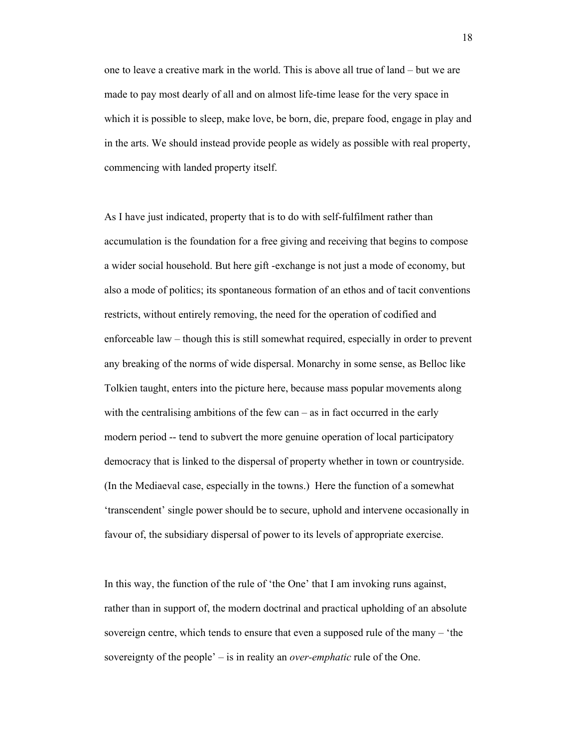one to leave a creative mark in the world. This is above all true of land – but we are made to pay most dearly of all and on almost life-time lease for the very space in which it is possible to sleep, make love, be born, die, prepare food, engage in play and in the arts. We should instead provide people as widely as possible with real property, commencing with landed property itself.

As I have just indicated, property that is to do with self-fulfilment rather than accumulation is the foundation for a free giving and receiving that begins to compose a wider social household. But here gift -exchange is not just a mode of economy, but also a mode of politics; its spontaneous formation of an ethos and of tacit conventions restricts, without entirely removing, the need for the operation of codified and enforceable law – though this is still somewhat required, especially in order to prevent any breaking of the norms of wide dispersal. Monarchy in some sense, as Belloc like Tolkien taught, enters into the picture here, because mass popular movements along with the centralising ambitions of the few can – as in fact occurred in the early modern period -- tend to subvert the more genuine operation of local participatory democracy that is linked to the dispersal of property whether in town or countryside. (In the Mediaeval case, especially in the towns.) Here the function of a somewhat 'transcendent' single power should be to secure, uphold and intervene occasionally in favour of, the subsidiary dispersal of power to its levels of appropriate exercise.

In this way, the function of the rule of 'the One' that I am invoking runs against, rather than in support of, the modern doctrinal and practical upholding of an absolute sovereign centre, which tends to ensure that even a supposed rule of the many – 'the sovereignty of the people' – is in reality an *over-emphatic* rule of the One.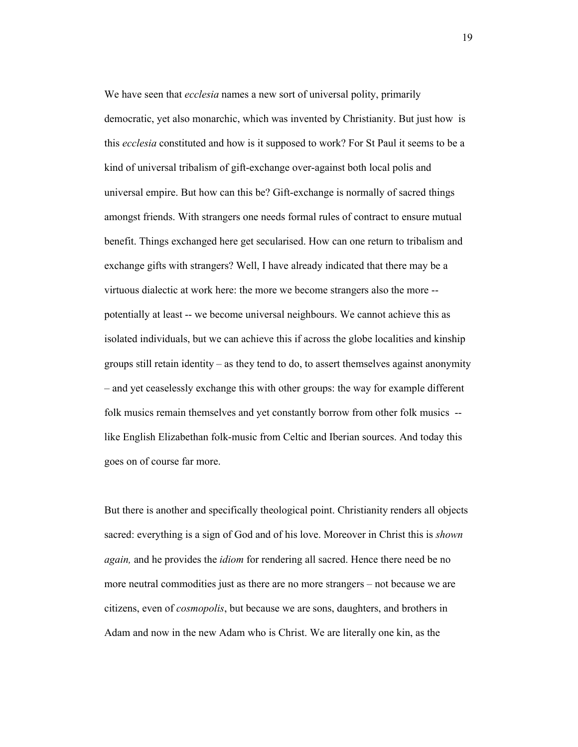We have seen that *ecclesia* names a new sort of universal polity, primarily democratic, yet also monarchic, which was invented by Christianity. But just how is this *ecclesia* constituted and how is it supposed to work? For St Paul it seems to be a kind of universal tribalism of gift-exchange over-against both local polis and universal empire. But how can this be? Gift-exchange is normally of sacred things amongst friends. With strangers one needs formal rules of contract to ensure mutual benefit. Things exchanged here get secularised. How can one return to tribalism and exchange gifts with strangers? Well, I have already indicated that there may be a virtuous dialectic at work here: the more we become strangers also the more - potentially at least -- we become universal neighbours. We cannot achieve this as isolated individuals, but we can achieve this if across the globe localities and kinship groups still retain identity – as they tend to do, to assert themselves against anonymity – and yet ceaselessly exchange this with other groups: the way for example different folk musics remain themselves and yet constantly borrow from other folk musics - like English Elizabethan folk-music from Celtic and Iberian sources. And today this goes on of course far more.

But there is another and specifically theological point. Christianity renders all objects sacred: everything is a sign of God and of his love. Moreover in Christ this is *shown again,* and he provides the *idiom* for rendering all sacred. Hence there need be no more neutral commodities just as there are no more strangers – not because we are citizens, even of *cosmopolis*, but because we are sons, daughters, and brothers in Adam and now in the new Adam who is Christ. We are literally one kin, as the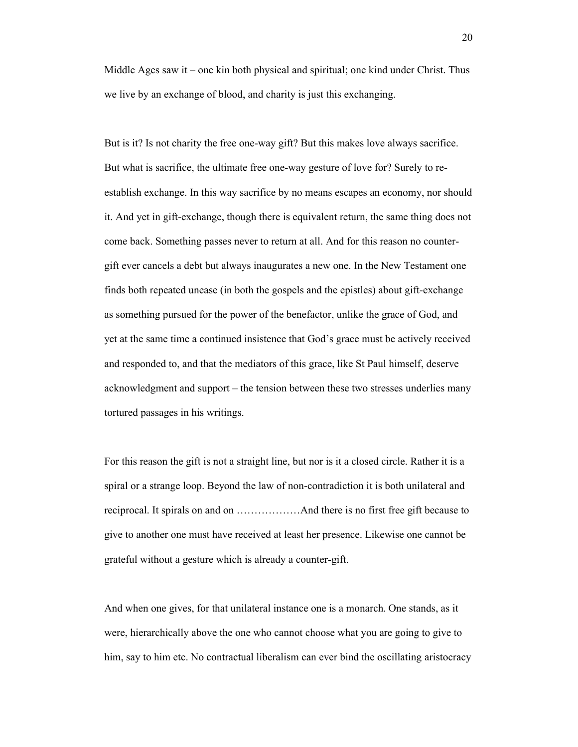Middle Ages saw it – one kin both physical and spiritual; one kind under Christ. Thus we live by an exchange of blood, and charity is just this exchanging.

But is it? Is not charity the free one-way gift? But this makes love always sacrifice. But what is sacrifice, the ultimate free one-way gesture of love for? Surely to reestablish exchange. In this way sacrifice by no means escapes an economy, nor should it. And yet in gift-exchange, though there is equivalent return, the same thing does not come back. Something passes never to return at all. And for this reason no countergift ever cancels a debt but always inaugurates a new one. In the New Testament one finds both repeated unease (in both the gospels and the epistles) about gift-exchange as something pursued for the power of the benefactor, unlike the grace of God, and yet at the same time a continued insistence that God's grace must be actively received and responded to, and that the mediators of this grace, like St Paul himself, deserve acknowledgment and support – the tension between these two stresses underlies many tortured passages in his writings.

For this reason the gift is not a straight line, but nor is it a closed circle. Rather it is a spiral or a strange loop. Beyond the law of non-contradiction it is both unilateral and reciprocal. It spirals on and on ………………And there is no first free gift because to give to another one must have received at least her presence. Likewise one cannot be grateful without a gesture which is already a counter-gift.

And when one gives, for that unilateral instance one is a monarch. One stands, as it were, hierarchically above the one who cannot choose what you are going to give to him, say to him etc. No contractual liberalism can ever bind the oscillating aristocracy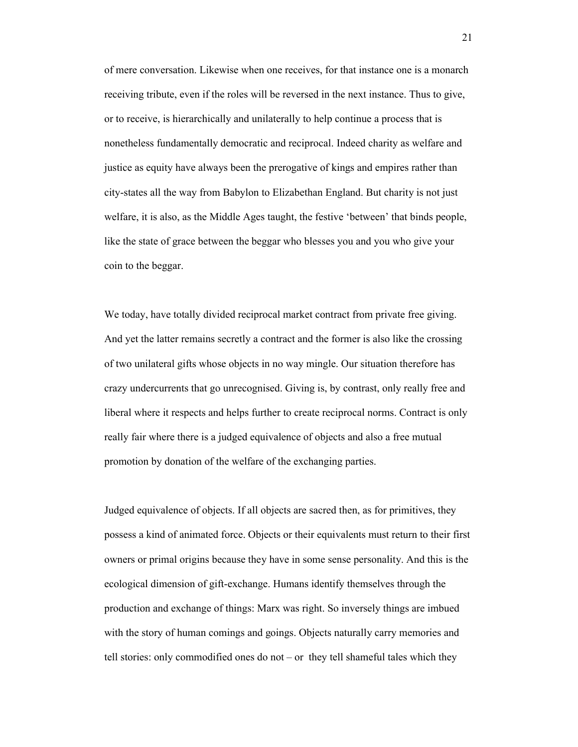of mere conversation. Likewise when one receives, for that instance one is a monarch receiving tribute, even if the roles will be reversed in the next instance. Thus to give, or to receive, is hierarchically and unilaterally to help continue a process that is nonetheless fundamentally democratic and reciprocal. Indeed charity as welfare and justice as equity have always been the prerogative of kings and empires rather than city-states all the way from Babylon to Elizabethan England. But charity is not just welfare, it is also, as the Middle Ages taught, the festive 'between' that binds people, like the state of grace between the beggar who blesses you and you who give your coin to the beggar.

We today, have totally divided reciprocal market contract from private free giving. And yet the latter remains secretly a contract and the former is also like the crossing of two unilateral gifts whose objects in no way mingle. Our situation therefore has crazy undercurrents that go unrecognised. Giving is, by contrast, only really free and liberal where it respects and helps further to create reciprocal norms. Contract is only really fair where there is a judged equivalence of objects and also a free mutual promotion by donation of the welfare of the exchanging parties.

Judged equivalence of objects. If all objects are sacred then, as for primitives, they possess a kind of animated force. Objects or their equivalents must return to their first owners or primal origins because they have in some sense personality. And this is the ecological dimension of gift-exchange. Humans identify themselves through the production and exchange of things: Marx was right. So inversely things are imbued with the story of human comings and goings. Objects naturally carry memories and tell stories: only commodified ones do not – or they tell shameful tales which they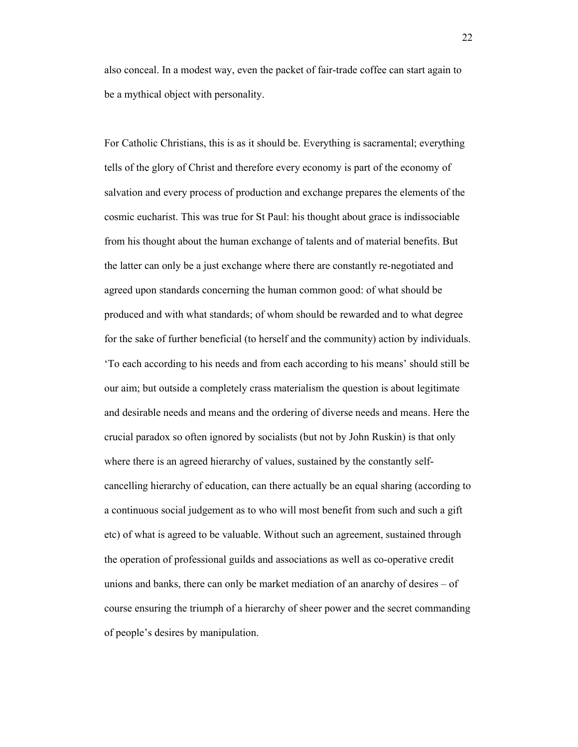also conceal. In a modest way, even the packet of fair-trade coffee can start again to be a mythical object with personality.

For Catholic Christians, this is as it should be. Everything is sacramental; everything tells of the glory of Christ and therefore every economy is part of the economy of salvation and every process of production and exchange prepares the elements of the cosmic eucharist. This was true for St Paul: his thought about grace is indissociable from his thought about the human exchange of talents and of material benefits. But the latter can only be a just exchange where there are constantly re-negotiated and agreed upon standards concerning the human common good: of what should be produced and with what standards; of whom should be rewarded and to what degree for the sake of further beneficial (to herself and the community) action by individuals. 'To each according to his needs and from each according to his means' should still be our aim; but outside a completely crass materialism the question is about legitimate and desirable needs and means and the ordering of diverse needs and means. Here the crucial paradox so often ignored by socialists (but not by John Ruskin) is that only where there is an agreed hierarchy of values, sustained by the constantly selfcancelling hierarchy of education, can there actually be an equal sharing (according to a continuous social judgement as to who will most benefit from such and such a gift etc) of what is agreed to be valuable. Without such an agreement, sustained through the operation of professional guilds and associations as well as co-operative credit unions and banks, there can only be market mediation of an anarchy of desires – of course ensuring the triumph of a hierarchy of sheer power and the secret commanding of people's desires by manipulation.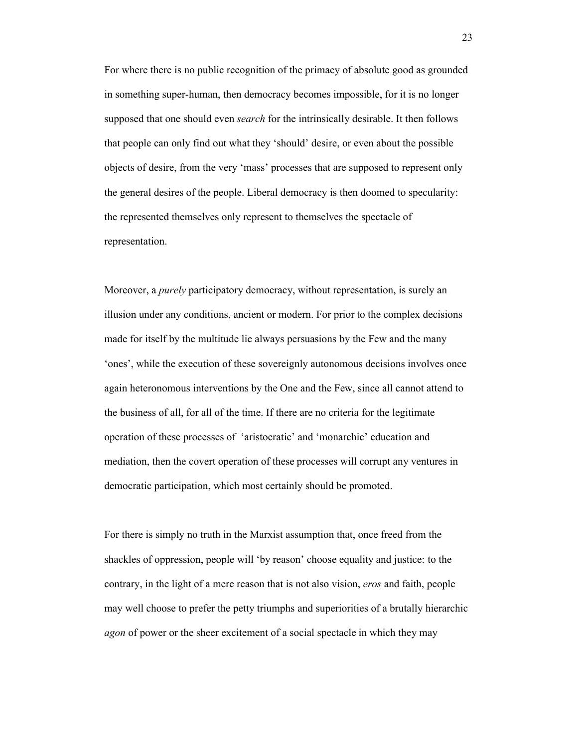For where there is no public recognition of the primacy of absolute good as grounded in something super-human, then democracy becomes impossible, for it is no longer supposed that one should even *search* for the intrinsically desirable. It then follows that people can only find out what they 'should' desire, or even about the possible objects of desire, from the very 'mass' processes that are supposed to represent only the general desires of the people. Liberal democracy is then doomed to specularity: the represented themselves only represent to themselves the spectacle of representation.

Moreover, a *purely* participatory democracy, without representation, is surely an illusion under any conditions, ancient or modern. For prior to the complex decisions made for itself by the multitude lie always persuasions by the Few and the many 'ones', while the execution of these sovereignly autonomous decisions involves once again heteronomous interventions by the One and the Few, since all cannot attend to the business of all, for all of the time. If there are no criteria for the legitimate operation of these processes of 'aristocratic' and 'monarchic' education and mediation, then the covert operation of these processes will corrupt any ventures in democratic participation, which most certainly should be promoted.

For there is simply no truth in the Marxist assumption that, once freed from the shackles of oppression, people will 'by reason' choose equality and justice: to the contrary, in the light of a mere reason that is not also vision, *eros* and faith, people may well choose to prefer the petty triumphs and superiorities of a brutally hierarchic *agon* of power or the sheer excitement of a social spectacle in which they may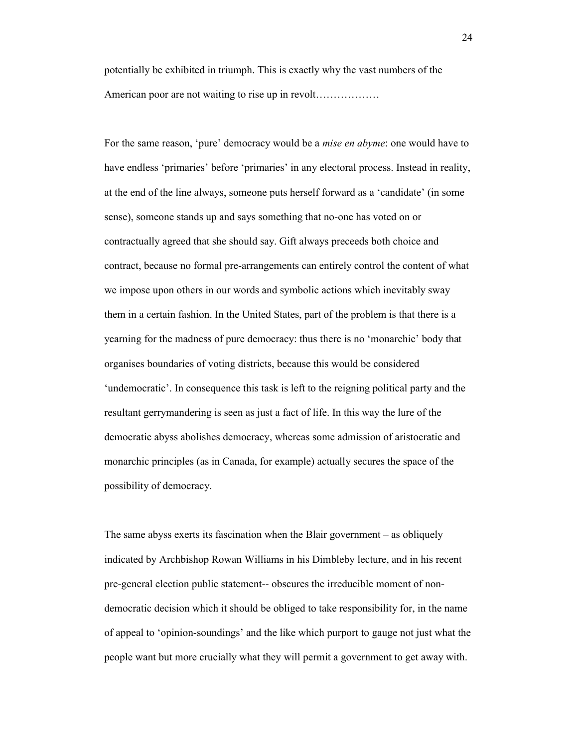potentially be exhibited in triumph. This is exactly why the vast numbers of the American poor are not waiting to rise up in revolt………………

For the same reason, 'pure' democracy would be a *mise en abyme*: one would have to have endless 'primaries' before 'primaries' in any electoral process. Instead in reality, at the end of the line always, someone puts herself forward as a 'candidate' (in some sense), someone stands up and says something that no-one has voted on or contractually agreed that she should say. Gift always preceeds both choice and contract, because no formal pre-arrangements can entirely control the content of what we impose upon others in our words and symbolic actions which inevitably sway them in a certain fashion. In the United States, part of the problem is that there is a yearning for the madness of pure democracy: thus there is no 'monarchic' body that organises boundaries of voting districts, because this would be considered 'undemocratic'. In consequence this task is left to the reigning political party and the resultant gerrymandering is seen as just a fact of life. In this way the lure of the democratic abyss abolishes democracy, whereas some admission of aristocratic and monarchic principles (as in Canada, for example) actually secures the space of the possibility of democracy.

The same abyss exerts its fascination when the Blair government – as obliquely indicated by Archbishop Rowan Williams in his Dimbleby lecture, and in his recent pre-general election public statement-- obscures the irreducible moment of nondemocratic decision which it should be obliged to take responsibility for, in the name of appeal to 'opinion-soundings' and the like which purport to gauge not just what the people want but more crucially what they will permit a government to get away with.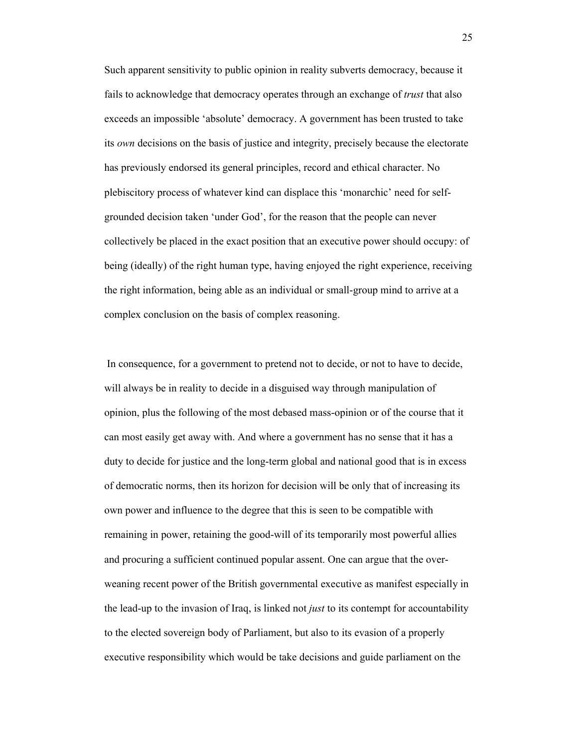Such apparent sensitivity to public opinion in reality subverts democracy, because it fails to acknowledge that democracy operates through an exchange of *trust* that also exceeds an impossible 'absolute' democracy. A government has been trusted to take its *own* decisions on the basis of justice and integrity, precisely because the electorate has previously endorsed its general principles, record and ethical character. No plebiscitory process of whatever kind can displace this 'monarchic' need for selfgrounded decision taken 'under God', for the reason that the people can never collectively be placed in the exact position that an executive power should occupy: of being (ideally) of the right human type, having enjoyed the right experience, receiving the right information, being able as an individual or small-group mind to arrive at a complex conclusion on the basis of complex reasoning.

 In consequence, for a government to pretend not to decide, or not to have to decide, will always be in reality to decide in a disguised way through manipulation of opinion, plus the following of the most debased mass-opinion or of the course that it can most easily get away with. And where a government has no sense that it has a duty to decide for justice and the long-term global and national good that is in excess of democratic norms, then its horizon for decision will be only that of increasing its own power and influence to the degree that this is seen to be compatible with remaining in power, retaining the good-will of its temporarily most powerful allies and procuring a sufficient continued popular assent. One can argue that the overweaning recent power of the British governmental executive as manifest especially in the lead-up to the invasion of Iraq, is linked not *just* to its contempt for accountability to the elected sovereign body of Parliament, but also to its evasion of a properly executive responsibility which would be take decisions and guide parliament on the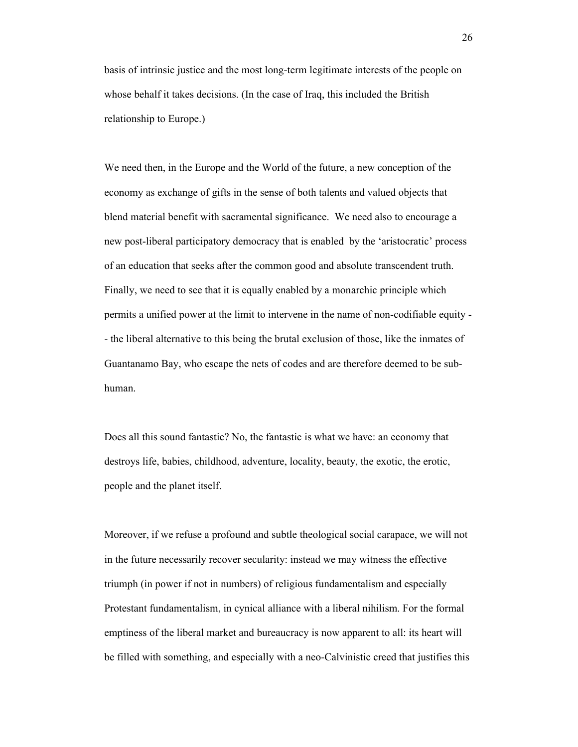basis of intrinsic justice and the most long-term legitimate interests of the people on whose behalf it takes decisions. (In the case of Iraq, this included the British relationship to Europe.)

We need then, in the Europe and the World of the future, a new conception of the economy as exchange of gifts in the sense of both talents and valued objects that blend material benefit with sacramental significance. We need also to encourage a new post-liberal participatory democracy that is enabled by the 'aristocratic' process of an education that seeks after the common good and absolute transcendent truth. Finally, we need to see that it is equally enabled by a monarchic principle which permits a unified power at the limit to intervene in the name of non-codifiable equity - - the liberal alternative to this being the brutal exclusion of those, like the inmates of Guantanamo Bay, who escape the nets of codes and are therefore deemed to be subhuman.

Does all this sound fantastic? No, the fantastic is what we have: an economy that destroys life, babies, childhood, adventure, locality, beauty, the exotic, the erotic, people and the planet itself.

Moreover, if we refuse a profound and subtle theological social carapace, we will not in the future necessarily recover secularity: instead we may witness the effective triumph (in power if not in numbers) of religious fundamentalism and especially Protestant fundamentalism, in cynical alliance with a liberal nihilism. For the formal emptiness of the liberal market and bureaucracy is now apparent to all: its heart will be filled with something, and especially with a neo-Calvinistic creed that justifies this